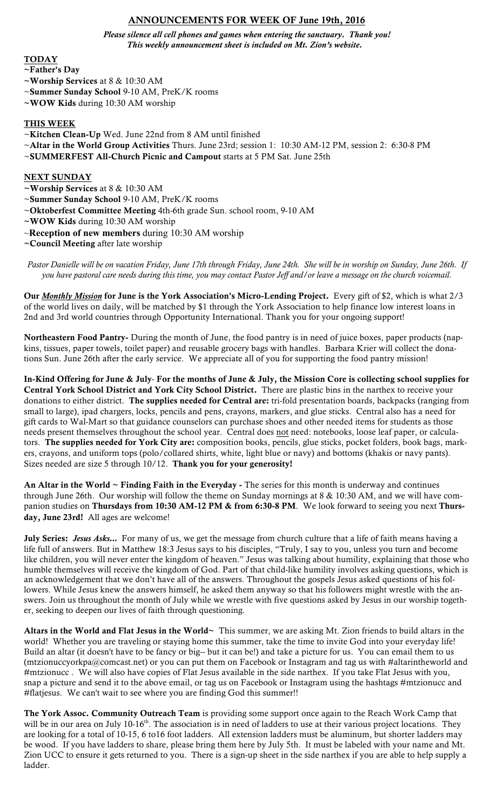# ANNOUNCEMENTS FOR WEEK OF June 19th, 2016

*Please silence all cell phones and games when entering the sanctuary. Thank you! This weekly announcement sheet is included on Mt. Zion's website.*

#### TODAY

- ~Father's Day
- ~Worship Services at 8 & 10:30 AM
- ~Summer Sunday School 9-10 AM, PreK/K rooms
- ~WOW Kids during 10:30 AM worship

#### THIS WEEK

- ~Kitchen Clean-Up Wed. June 22nd from 8 AM until finished
- ~Altar in the World Group Activities Thurs. June 23rd; session 1: 10:30 AM-12 PM, session 2: 6:30-8 PM
- ~SUMMERFEST All-Church Picnic and Campout starts at 5 PM Sat. June 25th

#### **NEXT SUNDAY**

- ~Worship Services at 8 & 10:30 AM
- ~Summer Sunday School 9-10 AM, PreK/K rooms
- ~Oktoberfest Committee Meeting 4th-6th grade Sun. school room, 9-10 AM
- ~WOW Kids during 10:30 AM worship
- ~**Reception of new members** during 10:30 AM worship
- ~Council Meeting after late worship

*Pastor Danielle will be on vacation Friday, June 17th through Friday, June 24th. She will be in worship on Sunday, June 26th. If you have pastoral care needs during this time, you may contact Pastor Jeff and/or leave a message on the church voicemail.* 

Our *Monthly Mission* for June is the York Association's Micro-Lending Project. Every gift of \$2, which is what 2/3 of the world lives on daily, will be matched by \$1 through the York Association to help finance low interest loans in 2nd and 3rd world countries through Opportunity International. Thank you for your ongoing support!

Northeastern Food Pantry- During the month of June, the food pantry is in need of juice boxes, paper products (napkins, tissues, paper towels, toilet paper) and reusable grocery bags with handles. Barbara Krier will collect the donations Sun. June 26th after the early service. We appreciate all of you for supporting the food pantry mission!

In-Kind Offering for June & July- For the months of June & July, the Mission Core is collecting school supplies for Central York School District and York City School District. There are plastic bins in the narthex to receive your donations to either district. The supplies needed for Central are: tri-fold presentation boards, backpacks (ranging from small to large), ipad chargers, locks, pencils and pens, crayons, markers, and glue sticks. Central also has a need for gift cards to Wal-Mart so that guidance counselors can purchase shoes and other needed items for students as those needs present themselves throughout the school year. Central does not need: notebooks, loose leaf paper, or calculators. The supplies needed for York City are: composition books, pencils, glue sticks, pocket folders, book bags, markers, crayons, and uniform tops (polo/collared shirts, white, light blue or navy) and bottoms (khakis or navy pants). Sizes needed are size 5 through 10/12. Thank you for your generosity!

An Altar in the World ~ Finding Faith in the Everyday - The series for this month is underway and continues through June 26th. Our worship will follow the theme on Sunday mornings at 8 & 10:30 AM, and we will have companion studies on Thursdays from 10:30 AM-12 PM & from 6:30-8 PM. We look forward to seeing you next Thursday, June 23rd! All ages are welcome!

July Series: Jesus Asks... For many of us, we get the message from church culture that a life of faith means having a life full of answers. But in Matthew 18:3 Jesus says to his disciples, "Truly, I say to you, unless you turn and become like children, you will never enter the kingdom of heaven." Jesus was talking about humility, explaining that those who humble themselves will receive the kingdom of God. Part of that child-like humility involves asking questions, which is an acknowledgement that we don't have all of the answers. Throughout the gospels Jesus asked questions of his followers. While Jesus knew the answers himself, he asked them anyway so that his followers might wrestle with the answers. Join us throughout the month of July while we wrestle with five questions asked by Jesus in our worship together, seeking to deepen our lives of faith through questioning.

Altars in the World and Flat Jesus in the World~ This summer, we are asking Mt. Zion friends to build altars in the world! Whether you are traveling or staying home this summer, take the time to invite God into your everyday life! Build an altar (it doesn't have to be fancy or big-- but it can be!) and take a picture for us. You can email them to us (mtzionuccyorkpa@comcast.net) or you can put them on Facebook or Instagram and tag us with #altarintheworld and #mtzionucc . We will also have copies of Flat Jesus available in the side narthex. If you take Flat Jesus with you, snap a picture and send it to the above email, or tag us on Facebook or Instagram using the hashtags #mtzionucc and #flatjesus. We can't wait to see where you are finding God this summer!!

The York Assoc. Community Outreach Team is providing some support once again to the Reach Work Camp that will be in our area on July 10-16<sup>th</sup>. The association is in need of ladders to use at their various project locations. They are looking for a total of 10-15, 6 to16 foot ladders. All extension ladders must be aluminum, but shorter ladders may be wood. If you have ladders to share, please bring them here by July 5th. It must be labeled with your name and Mt. Zion UCC to ensure it gets returned to you. There is a sign-up sheet in the side narthex if you are able to help supply a ladder.